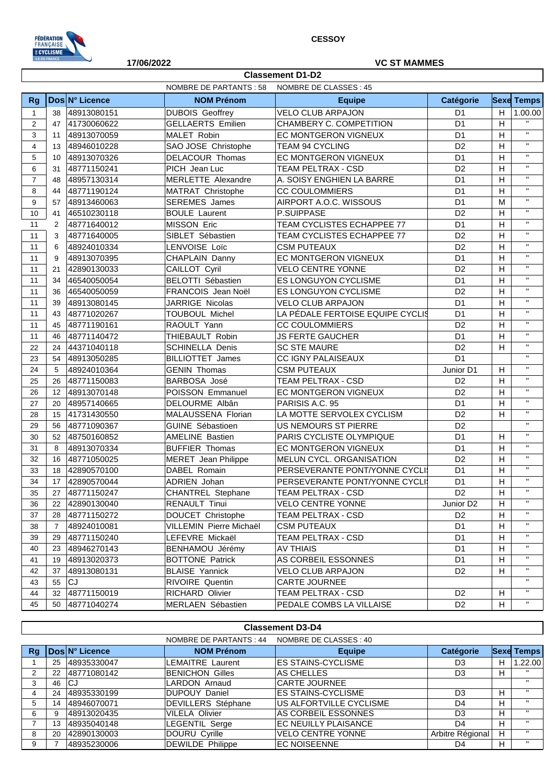

**Classement D1-D2**

## **17/06/2022 VC ST MAMMES**

|                |                |                | NOMBRE DE PARTANTS: 58     | NOMBRE DE CLASSES : 45           |                       |                           |                              |
|----------------|----------------|----------------|----------------------------|----------------------------------|-----------------------|---------------------------|------------------------------|
| <b>Rg</b>      |                | Dos N° Licence | <b>NOM Prénom</b>          | <b>Equipe</b>                    | Catégorie             |                           | <b>Sexe Temps</b>            |
| $\mathbf{1}$   | 38             | 48913080151    | <b>DUBOIS Geoffrey</b>     | <b>VELO CLUB ARPAJON</b>         | D <sub>1</sub>        | H                         | 1.00.00                      |
| $\overline{2}$ | 47             | 41730060622    | <b>GELLAERTS Emilien</b>   | CHAMBERY C. COMPETITION          | D <sub>1</sub>        | H                         | $\mathbf{H}$                 |
| 3              | 11             | 48913070059    | MALET Robin                | EC MONTGERON VIGNEUX             | D <sub>1</sub>        | H                         | $\mathbf{H}$                 |
| 4              | 13             | 48946010228    | SAO JOSE Christophe        | TEAM 94 CYCLING                  | D <sub>2</sub>        | H                         | $\mathbf{H}$                 |
| 5              | 10             | 48913070326    | DELACOUR Thomas            | EC MONTGERON VIGNEUX             | D <sub>1</sub>        | H                         | $\mathbf{H}$                 |
| 6              | 31             | 48771150241    | PICH Jean Luc              | TEAM PELTRAX - CSD               | D <sub>2</sub>        | H                         | $\mathbf{H}$                 |
| $\overline{7}$ | 48             | 48957130314    | MERLETTE Alexandre         | A. SOISY ENGHIEN LA BARRE        | D <sub>1</sub>        | H                         | $\mathbf{H}$                 |
| 8              | 44             | 48771190124    | MATRAT Christophe          | <b>CC COULOMMIERS</b>            | D <sub>1</sub>        | H                         | $\mathbf{H}$                 |
| 9              | 57             | 48913460063    | <b>SEREMES</b> James       | AIRPORT A.O.C. WISSOUS           | D <sub>1</sub>        | M                         | $\mathbf{H}$                 |
| 10             | 41             | 46510230118    | <b>BOULE Laurent</b>       | P.SUIPPASE                       | D <sub>2</sub>        | H                         | $\mathbf{H}$                 |
| 11             | 2              | 48771640012    | <b>MISSON Eric</b>         | TEAM CYCLISTES ECHAPPEE 77       | D <sub>1</sub>        | H                         | $\mathbf{H}$                 |
| 11             | 3              | 48771640005    | SIBLET Sébastien           | TEAM CYCLISTES ECHAPPEE 77       | D <sub>2</sub>        | H                         | $\mathbf{H}$                 |
| 11             | 6              | 48924010334    | LENVOISE Loïc              | <b>CSM PUTEAUX</b>               | D <sub>2</sub>        | H                         | $\mathbf{H}$                 |
| 11             | 9              | 48913070395    | CHAPLAIN Danny             | EC MONTGERON VIGNEUX             | D <sub>1</sub>        | H                         | $\mathbf{H}$                 |
| 11             | 21             | 42890130033    | CAILLOT Cyril              | <b>VELO CENTRE YONNE</b>         | D <sub>2</sub>        | H                         | $\mathbf{H}$                 |
| 11             | 34             | 46540050054    | <b>BELOTTI Sébastien</b>   | ES LONGUYON CYCLISME             | D <sub>1</sub>        | H                         | $\mathbf{H}$                 |
| 11             | 36             | 46540050059    | FRANCOIS Jean Noël         | ES LONGUYON CYCLISME             | D <sub>2</sub>        | H                         | $\mathbf{H}$                 |
| 11             | 39             | 48913080145    | JARRIGE Nicolas            | <b>VELO CLUB ARPAJON</b>         | D <sub>1</sub>        | H                         | $\mathbf{H}$                 |
| 11             | 43             | 48771020267    | TOUBOUL Michel             | LA PÉDALE FERTOISE EQUIPE CYCLIS | D <sub>1</sub>        | H                         | $\mathbf{H}$                 |
| 11             | 45             | 48771190161    | RAOULT Yann                | <b>CC COULOMMIERS</b>            | D <sub>2</sub>        | H                         | $\mathbf{H}$                 |
| 11             | 46             | 48771140472    | THIEBAULT Robin            | <b>JS FERTE GAUCHER</b>          | D <sub>1</sub>        | H                         | $\mathbf{H}$                 |
| 22             | 24             | 44371040118    | <b>SCHINELLA Denis</b>     | <b>SC STE MAURE</b>              | D <sub>2</sub>        | H                         | $\mathbf{H}$                 |
| 23             | 54             | 48913050285    | <b>BILLIOTTET James</b>    | CC IGNY PALAISEAUX               | D <sub>1</sub>        |                           | $\mathbf{H}$                 |
| 24             | 5              | 48924010364    | <b>GENIN Thomas</b>        | <b>CSM PUTEAUX</b>               | Junior D1             | H                         | $\mathbf{H}$                 |
| 25             | 26             | 48771150083    | <b>BARBOSA José</b>        | TEAM PELTRAX - CSD               | D <sub>2</sub>        | H                         | $\mathbf{H}$                 |
| 26             | 12             | 48913070148    | POISSON Emmanuel           | EC MONTGERON VIGNEUX             | D <sub>2</sub>        | H                         | $\mathbf{H}$                 |
| 27             | 20             | 48957140665    | DELOURME Albân             | PARISIS A.C. 95                  | D <sub>1</sub>        | H                         | $\mathbf{H}$                 |
| 28             | 15             | 41731430550    | MALAUSSENA Florian         | LA MOTTE SERVOLEX CYCLISM        | D <sub>2</sub>        | H                         | $\mathbf{H}$                 |
| 29             | 56             | 48771090367    | GUINE Sébastioen           | <b>US NEMOURS ST PIERRE</b>      | D <sub>2</sub>        |                           | $\mathbf{H}$                 |
| 30             | 52             | 48750160852    | <b>AMELINE Bastien</b>     | PARIS CYCLISTE OLYMPIQUE         | D <sub>1</sub>        | H                         | $\mathbf{H}$                 |
| 31             | 8              | 48913070334    | <b>BUFFIER Thomas</b>      | EC MONTGERON VIGNEUX             | D <sub>1</sub>        | H                         | $\mathbf{H}$                 |
| 32             | 16             | 48771050025    | <b>MERET</b> Jean Philippe | MELUN CYCL. ORGANISATION         | D <sub>2</sub>        | H                         | $\mathbf{H}$<br>$\mathbf{H}$ |
| 33             | 18             | 42890570100    | DABEL Romain               | PERSEVERANTE PONT/YONNE CYCLI:   | D <sub>1</sub>        | H                         | $\mathbf{H}$                 |
| 34             | 17             | 42890570044    | ADRIEN Johan               | PERSEVERANTE PONT/YONNE CYCLI    | D <sub>1</sub>        | H                         | $\mathbf{H}$                 |
| 35             | 27             | 48771150247    | <b>CHANTREL Stephane</b>   | TEAM PELTRAX - CSD               | D <sub>2</sub>        | H                         |                              |
| 36             | 22             | 42890130040    | <b>RENAULT Tinui</b>       | <b>VELO CENTRE YONNE</b>         | Junior D <sub>2</sub> | H                         | $\mathbf{H}$<br>$\mathbf{H}$ |
| 37             | 28             | 48771150272    | DOUCET Christophe          | TEAM PELTRAX - CSD               | D <sub>2</sub>        | H                         |                              |
| 38             | $\overline{7}$ | 48924010081    | VILLEMIN Pierre Michaël    | <b>CSM PUTEAUX</b>               | D <sub>1</sub>        | $\boldsymbol{\mathsf{H}}$ | $\mathbf{H}$<br>$\mathbf{H}$ |
| 39             | 29             | 48771150240    | LEFEVRE Mickaël            | TEAM PELTRAX - CSD               | D <sub>1</sub>        | H                         | $\mathbf{H}$                 |
| 40             | 23             | 48946270143    | BENHAMOU Jérémy            | <b>AV THIAIS</b>                 | D <sub>1</sub>        | H                         |                              |
| 41             | 19             | 48913020373    | <b>BOTTONE Patrick</b>     | AS CORBEIL ESSONNES              | D <sub>1</sub>        | H                         | $\mathbf{H}$                 |
| 42             | 37             | 48913080131    | <b>BLAISE Yannick</b>      | <b>VELO CLUB ARPAJON</b>         | D <sub>2</sub>        | H                         | $\mathbf{H}$                 |
| 43             | 55             | CJ             | <b>RIVOIRE Quentin</b>     | CARTE JOURNEE                    |                       |                           | $\mathbf{H}$                 |
| 44             | 32             | 48771150019    | <b>RICHARD Olivier</b>     | TEAM PELTRAX - CSD               | D <sub>2</sub>        | H                         | $\mathbf{H}$                 |
| 45             | 50             | 48771040274    | MERLAEN Sébastien          | PEDALE COMBS LA VILLAISE         | D <sub>2</sub>        | H                         | $\mathbf{H}$                 |

|    | <b>Classement D3-D4</b>                           |                       |                           |                           |                  |   |                   |  |
|----|---------------------------------------------------|-----------------------|---------------------------|---------------------------|------------------|---|-------------------|--|
|    | NOMBRE DE PARTANTS : 44<br>NOMBRE DE CLASSES : 40 |                       |                           |                           |                  |   |                   |  |
| Rq |                                                   | <b>Dos N° Licence</b> | <b>NOM Prénom</b>         | <b>Equipe</b>             | Catégorie        |   | <b>Sexe Temps</b> |  |
|    | 25                                                | 48935330047           | <b>LEMAITRE Laurent</b>   | <b>ES STAINS-CYCLISME</b> | D <sub>3</sub>   | н | 1.22.00           |  |
| 2  | 22                                                | 48771080142           | <b>BENICHON Gilles</b>    | AS CHELLES                | D <sub>3</sub>   | н |                   |  |
|    | 46                                                | lCJ                   | <b>LARDON Arnaud</b>      | <b>CARTE JOURNEE</b>      |                  |   | $\mathbf{u}$      |  |
| 4  | 24                                                | 48935330199           | <b>DUPOUY Daniel</b>      | <b>ES STAINS-CYCLISME</b> | D <sub>3</sub>   | н | $^{\prime\prime}$ |  |
| 5. | 14                                                | 48946070071           | <b>DEVILLERS</b> Stéphane | US ALFORTVILLE CYCLISME   | D4               | н | $\mathbf{u}$      |  |
| 6  | 9                                                 | 48913020435           | <b>VILELA Olivier</b>     | AS CORBEIL ESSONNES       | D <sub>3</sub>   | н | $^{\prime\prime}$ |  |
|    | 13                                                | 48935040148           | <b>LEGENTIL Serge</b>     | EC NEUILLY PLAISANCE      | D4               |   |                   |  |
| 8  | 20                                                | 42890130003           | DOURU Cyrille             | <b>VELO CENTRE YONNE</b>  | Arbitre Régional |   | $\mathbf{u}$      |  |
| 9  |                                                   | 48935230006           | <b>DEWILDE Philippe</b>   | <b>EC NOISEENNE</b>       | D4               |   | $^{\prime\prime}$ |  |